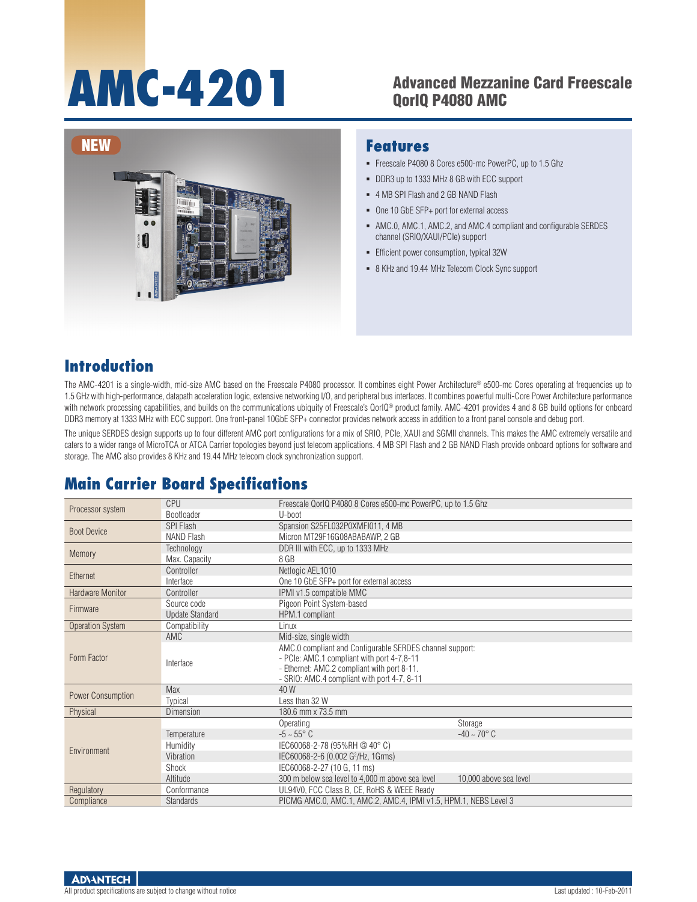# AMC-4201 Advanced Mezzanine Card Freescale

# QorIQ P4080 AMC



#### **Features**

- Freescale P4080 8 Cores e500-mc PowerPC, up to 1.5 Ghz
- DDR3 up to 1333 MHz 8 GB with ECC support
- 4 MB SPI Flash and 2 GB NAND Flash
- One 10 GbE SFP+ port for external access
- AMC.0, AMC.1, AMC.2, and AMC.4 compliant and configurable SERDES channel (SRIO/XAUI/PCIe) support
- **Efficient power consumption, typical 32W**
- 8 KHz and 19.44 MHz Telecom Clock Sync support

#### **Introduction**

The AMC-4201 is a single-width, mid-size AMC based on the Freescale P4080 processor. It combines eight Power Architecture® e500-mc Cores operating at frequencies up to 1.5 GHz with high-performance, datapath acceleration logic, extensive networking I/O, and peripheral bus interfaces. It combines powerful multi-Core Power Architecture performance with network processing capabilities, and builds on the communications ubiquity of Freescale's QorIQ® product family. AMC-4201 provides 4 and 8 GB build options for onboard DDR3 memory at 1333 MHz with ECC support. One front-panel 10GbE SFP+ connector provides network access in addition to a front panel console and debug port.

The unique SERDES design supports up to four different AMC port configurations for a mix of SRIO, PCIe, XAUI and SGMII channels. This makes the AMC extremely versatile and caters to a wider range of MicroTCA or ATCA Carrier topologies beyond just telecom applications. 4 MB SPI Flash and 2 GB NAND Flash provide onboard options for software and storage. The AMC also provides 8 KHz and 19.44 MHz telecom clock synchronization support.

### **Main Carrier Board Specifications**

| Processor system         | CPU                    | Freescale QorlQ P4080 8 Cores e500-mc PowerPC, up to 1.5 Ghz                                                                                                                                         |                         |  |  |  |
|--------------------------|------------------------|------------------------------------------------------------------------------------------------------------------------------------------------------------------------------------------------------|-------------------------|--|--|--|
|                          | Bootloader             | U-boot                                                                                                                                                                                               |                         |  |  |  |
| <b>Boot Device</b>       | <b>SPI Flash</b>       | Spansion S25FL032P0XMFI011, 4 MB                                                                                                                                                                     |                         |  |  |  |
|                          | NAND Flash             | Micron MT29F16G08ABABAWP, 2 GB                                                                                                                                                                       |                         |  |  |  |
| Memory                   | Technology             | DDR III with ECC, up to 1333 MHz                                                                                                                                                                     |                         |  |  |  |
|                          | Max. Capacity          | 8 GB                                                                                                                                                                                                 |                         |  |  |  |
| Ethernet                 | Controller             | Netlogic AEL1010                                                                                                                                                                                     |                         |  |  |  |
|                          | Interface              | One 10 GbE SFP+ port for external access                                                                                                                                                             |                         |  |  |  |
| <b>Hardware Monitor</b>  | Controller             | IPMI v1.5 compatible MMC                                                                                                                                                                             |                         |  |  |  |
| Firmware                 | Source code            | Pigeon Point System-based                                                                                                                                                                            |                         |  |  |  |
|                          | <b>Update Standard</b> | HPM.1 compliant                                                                                                                                                                                      |                         |  |  |  |
| <b>Operation System</b>  | Compatibility          | Linux                                                                                                                                                                                                |                         |  |  |  |
| Form Factor              | AMC                    | Mid-size, single width                                                                                                                                                                               |                         |  |  |  |
|                          | Interface              | AMC.0 compliant and Configurable SERDES channel support:<br>- PCIe: AMC.1 compliant with port 4-7,8-11<br>- Ethernet: AMC.2 compliant with port 8-11.<br>- SRIO: AMC.4 compliant with port 4-7, 8-11 |                         |  |  |  |
| <b>Power Consumption</b> | Max                    | 40 W                                                                                                                                                                                                 |                         |  |  |  |
|                          | Typical                | Less than 32 W                                                                                                                                                                                       |                         |  |  |  |
| Physical                 | Dimension              | 180.6 mm x 73.5 mm                                                                                                                                                                                   |                         |  |  |  |
| Environment              |                        | Operating                                                                                                                                                                                            | Storage                 |  |  |  |
|                          | Temperature            | $-5 \sim 55^{\circ}$ C                                                                                                                                                                               | $-40 \sim 70^{\circ}$ C |  |  |  |
|                          | Humidity               | IEC60068-2-78 (95%RH @ 40°C)                                                                                                                                                                         |                         |  |  |  |
|                          | Vibration              | IEC60068-2-6 (0.002 G <sup>2</sup> /Hz, 1Grms)                                                                                                                                                       |                         |  |  |  |
|                          | Shock                  | IEC60068-2-27 (10 G, 11 ms)                                                                                                                                                                          |                         |  |  |  |
|                          | Altitude               | 300 m below sea level to 4,000 m above sea level                                                                                                                                                     | 10,000 above sea level  |  |  |  |
| Regulatory               | Conformance            | UL94V0, FCC Class B, CE, RoHS & WEEE Ready                                                                                                                                                           |                         |  |  |  |
| Compliance               | <b>Standards</b>       | PICMG AMC.0, AMC.1, AMC.2, AMC.4, IPMI v1.5, HPM.1, NEBS Level 3                                                                                                                                     |                         |  |  |  |